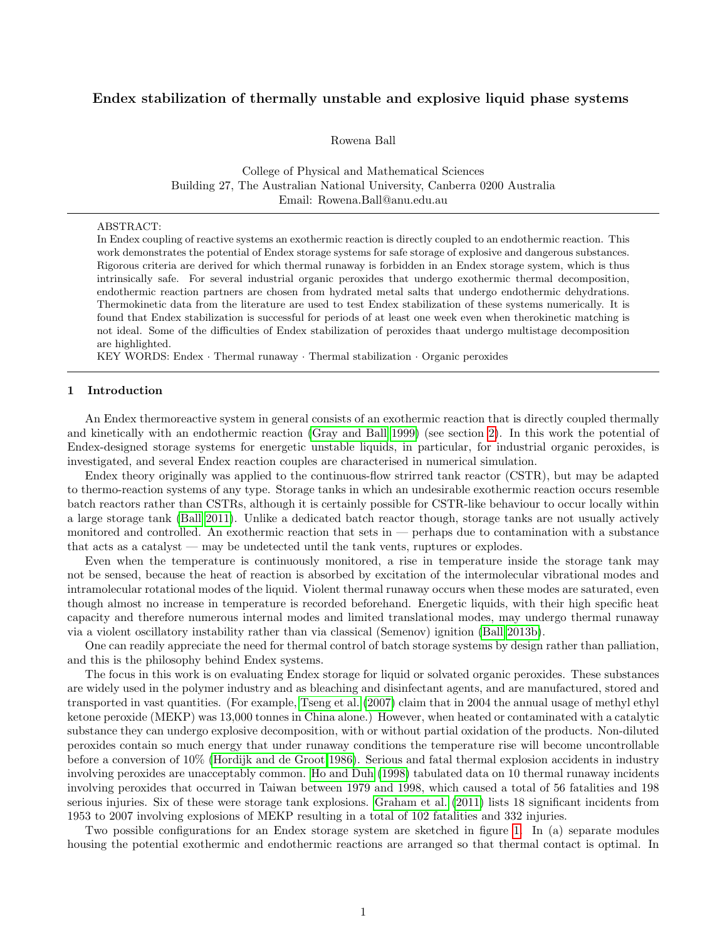# Endex stabilization of thermally unstable and explosive liquid phase systems

Rowena Ball

College of Physical and Mathematical Sciences Building 27, The Australian National University, Canberra 0200 Australia Email: Rowena.Ball@anu.edu.au

### ABSTRACT:

In Endex coupling of reactive systems an exothermic reaction is directly coupled to an endothermic reaction. This work demonstrates the potential of Endex storage systems for safe storage of explosive and dangerous substances. Rigorous criteria are derived for which thermal runaway is forbidden in an Endex storage system, which is thus intrinsically safe. For several industrial organic peroxides that undergo exothermic thermal decomposition, endothermic reaction partners are chosen from hydrated metal salts that undergo endothermic dehydrations. Thermokinetic data from the literature are used to test Endex stabilization of these systems numerically. It is found that Endex stabilization is successful for periods of at least one week even when therokinetic matching is not ideal. Some of the difficulties of Endex stabilization of peroxides thaat undergo multistage decomposition are highlighted.

KEY WORDS: Endex · Thermal runaway · Thermal stabilization · Organic peroxides

### 1 Introduction

An Endex thermoreactive system in general consists of an exothermic reaction that is directly coupled thermally and kinetically with an endothermic reaction [\(Gray and Ball 1999\)](#page-11-0) (see section [2\)](#page-1-0). In this work the potential of Endex-designed storage systems for energetic unstable liquids, in particular, for industrial organic peroxides, is investigated, and several Endex reaction couples are characterised in numerical simulation.

Endex theory originally was applied to the continuous-flow strirred tank reactor (CSTR), but may be adapted to thermo-reaction systems of any type. Storage tanks in which an undesirable exothermic reaction occurs resemble batch reactors rather than CSTRs, although it is certainly possible for CSTR-like behaviour to occur locally within a large storage tank [\(Ball 2011\)](#page-11-1). Unlike a dedicated batch reactor though, storage tanks are not usually actively monitored and controlled. An exothermic reaction that sets in — perhaps due to contamination with a substance that acts as a catalyst — may be undetected until the tank vents, ruptures or explodes.

Even when the temperature is continuously monitored, a rise in temperature inside the storage tank may not be sensed, because the heat of reaction is absorbed by excitation of the intermolecular vibrational modes and intramolecular rotational modes of the liquid. Violent thermal runaway occurs when these modes are saturated, even though almost no increase in temperature is recorded beforehand. Energetic liquids, with their high specific heat capacity and therefore numerous internal modes and limited translational modes, may undergo thermal runaway via a violent oscillatory instability rather than via classical (Semenov) ignition [\(Ball 2013b\)](#page-11-2).

One can readily appreciate the need for thermal control of batch storage systems by design rather than palliation, and this is the philosophy behind Endex systems.

The focus in this work is on evaluating Endex storage for liquid or solvated organic peroxides. These substances are widely used in the polymer industry and as bleaching and disinfectant agents, and are manufactured, stored and transported in vast quantities. (For example, [Tseng et al.](#page-12-0) [\(2007\)](#page-12-0) claim that in 2004 the annual usage of methyl ethyl ketone peroxide (MEKP) was 13,000 tonnes in China alone.) However, when heated or contaminated with a catalytic substance they can undergo explosive decomposition, with or without partial oxidation of the products. Non-diluted peroxides contain so much energy that under runaway conditions the temperature rise will become uncontrollable before a conversion of 10% [\(Hordijk and de Groot 1986\)](#page-11-3). Serious and fatal thermal explosion accidents in industry involving peroxides are unacceptably common. [Ho and Duh](#page-11-4) [\(1998\)](#page-11-4) tabulated data on 10 thermal runaway incidents involving peroxides that occurred in Taiwan between 1979 and 1998, which caused a total of 56 fatalities and 198 serious injuries. Six of these were storage tank explosions. [Graham et al.](#page-11-5) [\(2011\)](#page-11-5) lists 18 significant incidents from 1953 to 2007 involving explosions of MEKP resulting in a total of 102 fatalities and 332 injuries.

Two possible configurations for an Endex storage system are sketched in figure [1.](#page-1-1) In (a) separate modules housing the potential exothermic and endothermic reactions are arranged so that thermal contact is optimal. In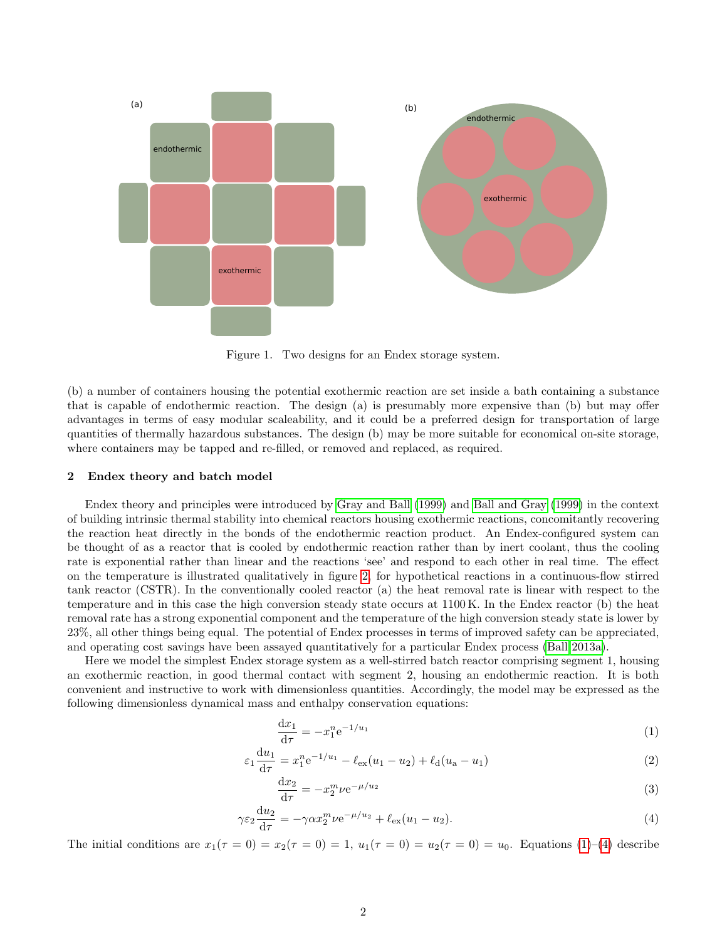<span id="page-1-1"></span>

Figure 1. Two designs for an Endex storage system.

(b) a number of containers housing the potential exothermic reaction are set inside a bath containing a substance that is capable of endothermic reaction. The design (a) is presumably more expensive than (b) but may offer advantages in terms of easy modular scaleability, and it could be a preferred design for transportation of large quantities of thermally hazardous substances. The design (b) may be more suitable for economical on-site storage, where containers may be tapped and re-filled, or removed and replaced, as required.

### <span id="page-1-0"></span>2 Endex theory and batch model

Endex theory and principles were introduced by [Gray and Ball](#page-11-0) [\(1999\)](#page-11-0) and [Ball and Gray](#page-11-6) [\(1999\)](#page-11-6) in the context of building intrinsic thermal stability into chemical reactors housing exothermic reactions, concomitantly recovering the reaction heat directly in the bonds of the endothermic reaction product. An Endex-configured system can be thought of as a reactor that is cooled by endothermic reaction rather than by inert coolant, thus the cooling rate is exponential rather than linear and the reactions 'see' and respond to each other in real time. The effect on the temperature is illustrated qualitatively in figure [2,](#page-2-0) for hypothetical reactions in a continuous-flow stirred tank reactor (CSTR). In the conventionally cooled reactor (a) the heat removal rate is linear with respect to the temperature and in this case the high conversion steady state occurs at 1100 K. In the Endex reactor (b) the heat removal rate has a strong exponential component and the temperature of the high conversion steady state is lower by 23%, all other things being equal. The potential of Endex processes in terms of improved safety can be appreciated, and operating cost savings have been assayed quantitatively for a particular Endex process [\(Ball 2013a\)](#page-11-7).

Here we model the simplest Endex storage system as a well-stirred batch reactor comprising segment 1, housing an exothermic reaction, in good thermal contact with segment 2, housing an endothermic reaction. It is both convenient and instructive to work with dimensionless quantities. Accordingly, the model may be expressed as the following dimensionless dynamical mass and enthalpy conservation equations:

<span id="page-1-4"></span><span id="page-1-2"></span>
$$
\frac{dx_1}{d\tau} = -x_1^n e^{-1/u_1} \tag{1}
$$

$$
\varepsilon_1 \frac{du_1}{d\tau} = x_1^n e^{-1/u_1} - \ell_{ex}(u_1 - u_2) + \ell_d(u_a - u_1)
$$
\n(2)

<span id="page-1-3"></span>
$$
\frac{\mathrm{d}x_2}{\mathrm{d}\tau} = -x_2^m \nu \mathrm{e}^{-\mu/u_2} \tag{3}
$$

$$
\gamma \varepsilon_2 \frac{\mathrm{d}u_2}{\mathrm{d}\tau} = -\gamma \alpha x_2^m \nu \mathrm{e}^{-\mu/u_2} + \ell_{\text{ex}} (u_1 - u_2). \tag{4}
$$

The initial conditions are  $x_1(\tau = 0) = x_2(\tau = 0) = 1$ ,  $u_1(\tau = 0) = u_2(\tau = 0) = u_0$ . Equations [\(1\)](#page-1-2)–[\(4\)](#page-1-3) describe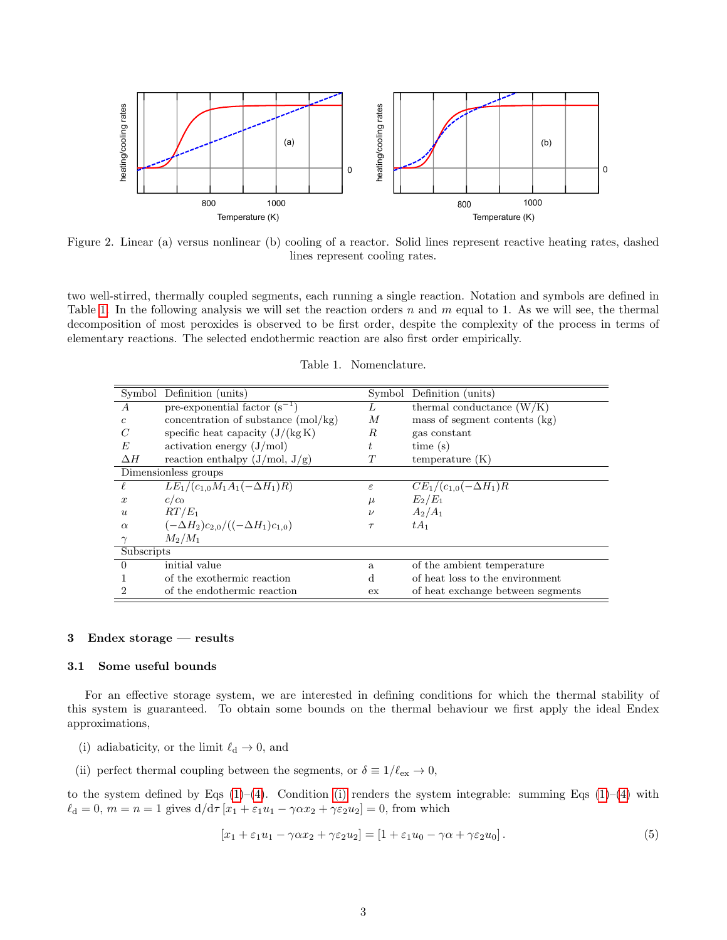<span id="page-2-0"></span>

Figure 2. Linear (a) versus nonlinear (b) cooling of a reactor. Solid lines represent reactive heating rates, dashed lines represent cooling rates.

two well-stirred, thermally coupled segments, each running a single reaction. Notation and symbols are defined in Table [1.](#page-2-1) In the following analysis we will set the reaction orders n and m equal to 1. As we will see, the thermal decomposition of most peroxides is observed to be first order, despite the complexity of the process in terms of elementary reactions. The selected endothermic reaction are also first order empirically.

<span id="page-2-1"></span>

|                  | Symbol Definition (units)                     | Symbol        | Definition (units)                |  |
|------------------|-----------------------------------------------|---------------|-----------------------------------|--|
| $\overline{A}$   | pre-exponential factor $(s^{-1})$             | L             | thermal conductance $(W/K)$       |  |
| $\epsilon$       | concentration of substance $(mol/kg)$         | М             | mass of segment contents $(kg)$   |  |
| $\mathcal C$     | specific heat capacity $(J/(kg K))$           | R             | gas constant                      |  |
| E                | activation energy $(J/mol)$                   | t.            | time(s)                           |  |
| $\Delta H$       | reaction enthalpy $(J/mol, J/g)$              | T             | temperature(K)                    |  |
|                  | Dimensionless groups                          |               |                                   |  |
|                  | $LE_1/(c_{1,0}M_1A_1(-\Delta H_1)R)$          | $\varepsilon$ | $CE_1/(c_{1,0}(-\Delta H_1)R)$    |  |
| $\boldsymbol{x}$ | $c/c_0$                                       | $\mu$         | $E_2/E_1$                         |  |
| $\boldsymbol{u}$ | $RT/E_1$                                      | $\nu$         | $A_2/A_1$                         |  |
| $\alpha$         | $(-\Delta H_2)c_{2,0}/((-\Delta H_1)c_{1,0})$ | $\tau$        | $tA_1$                            |  |
|                  | $M_2/M_1$                                     |               |                                   |  |
| Subscripts       |                                               |               |                                   |  |
| $\Omega$         | initial value                                 | a             | of the ambient temperature        |  |
|                  | of the exothermic reaction                    | d             | of heat loss to the environment   |  |
| $\overline{2}$   | of the endothermic reaction                   | ex            | of heat exchange between segments |  |

### 3 Endex storage — results

### 3.1 Some useful bounds

For an effective storage system, we are interested in defining conditions for which the thermal stability of this system is guaranteed. To obtain some bounds on the thermal behaviour we first apply the ideal Endex approximations,

- <span id="page-2-2"></span>(i) adiabaticity, or the limit  $\ell_d \to 0$ , and
- <span id="page-2-4"></span>(ii) perfect thermal coupling between the segments, or  $\delta \equiv 1/\ell_{\mathrm{ex}} \to 0,$

to the system defined by Eqs  $(1)-(4)$  $(1)-(4)$  $(1)-(4)$ . Condition [\(i\)](#page-2-2) renders the system integrable: summing Eqs  $(1)-(4)$  with  $\ell_d = 0, m = n = 1$  gives  $d/d\tau [x_1 + \varepsilon_1 u_1 - \gamma \alpha x_2 + \gamma \varepsilon_2 u_2] = 0$ , from which

<span id="page-2-3"></span>
$$
[x_1 + \varepsilon_1 u_1 - \gamma \alpha x_2 + \gamma \varepsilon_2 u_2] = [1 + \varepsilon_1 u_0 - \gamma \alpha + \gamma \varepsilon_2 u_0]. \tag{5}
$$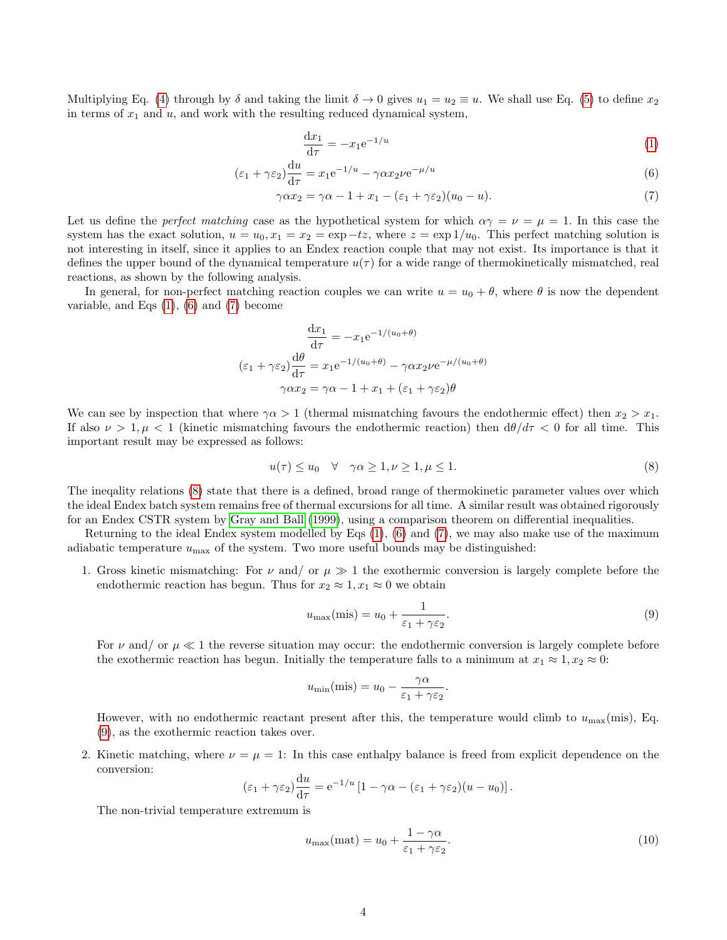Multiplying Eq. [\(4\)](#page-1-3) through by  $\delta$  and taking the limit  $\delta \to 0$  gives  $u_1 = u_2 \equiv u$ . We shall use Eq. [\(5\)](#page-2-3) to define  $x_2$ in terms of  $x_1$  and  $u$ , and work with the resulting reduced dynamical system,

<span id="page-3-1"></span><span id="page-3-0"></span>
$$
\frac{\mathrm{d}x_1}{\mathrm{d}\tau} = -x_1 e^{-1/u} \tag{1}
$$

$$
(\varepsilon_1 + \gamma \varepsilon_2) \frac{\mathrm{d}u}{\mathrm{d}\tau} = x_1 e^{-1/u} - \gamma \alpha x_2 \nu e^{-\mu/u} \tag{6}
$$

$$
\gamma \alpha x_2 = \gamma \alpha - 1 + x_1 - (\varepsilon_1 + \gamma \varepsilon_2)(u_0 - u). \tag{7}
$$

Let us define the *perfect matching* case as the hypothetical system for which  $\alpha \gamma = \nu = \mu = 1$ . In this case the system has the exact solution,  $u = u_0, x_1 = x_2 = \exp(-tz)$ , where  $z = \exp(1/u_0)$ . This perfect matching solution is not interesting in itself, since it applies to an Endex reaction couple that may not exist. Its importance is that it defines the upper bound of the dynamical temperature  $u(\tau)$  for a wide range of thermokinetically mismatched, real reactions, as shown by the following analysis.

In general, for non-perfect matching reaction couples we can write  $u = u_0 + \theta$ , where  $\theta$  is now the dependent variable, and Eqs  $(1)$ ,  $(6)$  and  $(7)$  become

$$
\frac{dx_1}{d\tau} = -x_1 e^{-1/(u_0 + \theta)}
$$

$$
(\varepsilon_1 + \gamma \varepsilon_2) \frac{d\theta}{d\tau} = x_1 e^{-1/(u_0 + \theta)} - \gamma \alpha x_2 \nu e^{-\mu/(u_0 + \theta)}
$$

$$
\gamma \alpha x_2 = \gamma \alpha - 1 + x_1 + (\varepsilon_1 + \gamma \varepsilon_2) \theta
$$

We can see by inspection that where  $\gamma \alpha > 1$  (thermal mismatching favours the endothermic effect) then  $x_2 > x_1$ . If also  $\nu > 1, \mu < 1$  (kinetic mismatching favours the endothermic reaction) then  $d\theta/d\tau < 0$  for all time. This important result may be expressed as follows:

<span id="page-3-2"></span>
$$
u(\tau) \le u_0 \quad \forall \quad \gamma \alpha \ge 1, \nu \ge 1, \mu \le 1. \tag{8}
$$

The ineqality relations [\(8\)](#page-3-2) state that there is a defined, broad range of thermokinetic parameter values over which the ideal Endex batch system remains free of thermal excursions for all time. A similar result was obtained rigorously for an Endex CSTR system by [Gray and Ball](#page-11-0) [\(1999\)](#page-11-0), using a comparison theorem on differential inequalities.

Returning to the ideal Endex system modelled by Eqs [\(1\)](#page-1-2), [\(6\)](#page-3-0) and [\(7\)](#page-3-1), we may also make use of the maximum adiabatic temperature  $u_{\text{max}}$  of the system. Two more useful bounds may be distinguished:

1. Gross kinetic mismatching: For  $\nu$  and/ or  $\mu \gg 1$  the exothermic conversion is largely complete before the endothermic reaction has begun. Thus for  $x_2 \approx 1, x_1 \approx 0$  we obtain

<span id="page-3-3"></span>
$$
u_{\max}(\text{mis}) = u_0 + \frac{1}{\varepsilon_1 + \gamma \varepsilon_2}.\tag{9}
$$

For  $\nu$  and/ or  $\mu \ll 1$  the reverse situation may occur: the endothermic conversion is largely complete before the exothermic reaction has begun. Initially the temperature falls to a minimum at  $x_1 \approx 1, x_2 \approx 0$ :

$$
u_{\min}(\text{mis}) = u_0 - \frac{\gamma \alpha}{\varepsilon_1 + \gamma \varepsilon_2}.
$$

However, with no endothermic reactant present after this, the temperature would climb to  $u_{\text{max}}(\text{mis})$ , Eq. [\(9\)](#page-3-3), as the exothermic reaction takes over.

2. Kinetic matching, where  $\nu = \mu = 1$ : In this case enthalpy balance is freed from explicit dependence on the conversion:

$$
(\varepsilon_1 + \gamma \varepsilon_2) \frac{du}{d\tau} = e^{-1/u} [1 - \gamma \alpha - (\varepsilon_1 + \gamma \varepsilon_2)(u - u_0)].
$$

The non-trivial temperature extremum is

<span id="page-3-4"></span>
$$
u_{\text{max}}(\text{mat}) = u_0 + \frac{1 - \gamma \alpha}{\varepsilon_1 + \gamma \varepsilon_2}.\tag{10}
$$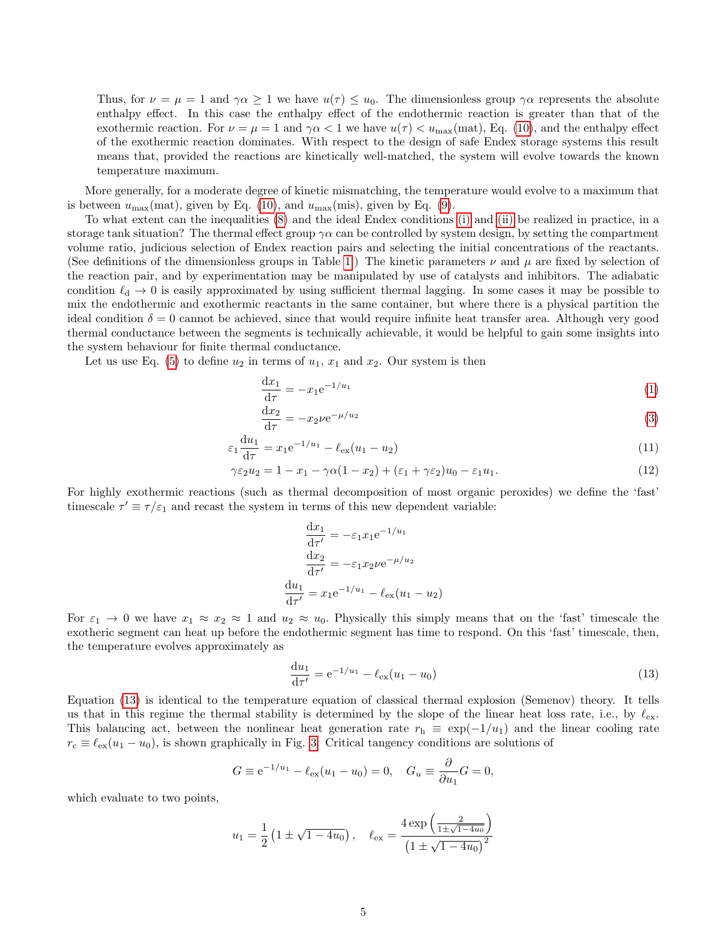Thus, for  $\nu = \mu = 1$  and  $\gamma \alpha \geq 1$  we have  $u(\tau) \leq u_0$ . The dimensionless group  $\gamma \alpha$  represents the absolute enthalpy effect. In this case the enthalpy effect of the endothermic reaction is greater than that of the exothermic reaction. For  $\nu = \mu = 1$  and  $\gamma \alpha < 1$  we have  $u(\tau) < u_{\text{max}}(\text{mat})$ , Eq. [\(10\)](#page-3-4), and the enthalpy effect of the exothermic reaction dominates. With respect to the design of safe Endex storage systems this result means that, provided the reactions are kinetically well-matched, the system will evolve towards the known temperature maximum.

More generally, for a moderate degree of kinetic mismatching, the temperature would evolve to a maximum that is between  $u_{\text{max}}(\text{mat})$ , given by Eq. [\(10\)](#page-3-4), and  $u_{\text{max}}(\text{mis})$ , given by Eq. [\(9\)](#page-3-3).

To what extent can the inequalities [\(8\)](#page-3-2) and the ideal Endex conditions [\(i\)](#page-2-2) and [\(ii\)](#page-2-4) be realized in practice, in a storage tank situation? The thermal effect group  $\gamma \alpha$  can be controlled by system design, by setting the compartment volume ratio, judicious selection of Endex reaction pairs and selecting the initial concentrations of the reactants. (See definitions of the dimensionless groups in Table [1.](#page-2-1)) The kinetic parameters  $\nu$  and  $\mu$  are fixed by selection of the reaction pair, and by experimentation may be manipulated by use of catalysts and inhibitors. The adiabatic condition  $\ell_d \to 0$  is easily approximated by using sufficient thermal lagging. In some cases it may be possible to mix the endothermic and exothermic reactants in the same container, but where there is a physical partition the ideal condition  $\delta = 0$  cannot be achieved, since that would require infinite heat transfer area. Although very good thermal conductance between the segments is technically achievable, it would be helpful to gain some insights into the system behaviour for finite thermal conductance.

Let us use Eq. [\(5\)](#page-2-3) to define  $u_2$  in terms of  $u_1, x_1$  and  $x_2$ . Our system is then

$$
\frac{dx_1}{d\tau} = -x_1 e^{-1/u_1} \tag{1}
$$

$$
\frac{\mathrm{d}x_2}{\mathrm{d}\tau} = -x_2 \nu \mathrm{e}^{-\mu/u_2} \tag{3}
$$

$$
\varepsilon_1 \frac{du_1}{d\tau} = x_1 e^{-1/u_1} - \ell_{ex}(u_1 - u_2)
$$
\n(11)

$$
\gamma \varepsilon_2 u_2 = 1 - x_1 - \gamma \alpha (1 - x_2) + (\varepsilon_1 + \gamma \varepsilon_2) u_0 - \varepsilon_1 u_1. \tag{12}
$$

For highly exothermic reactions (such as thermal decomposition of most organic peroxides) we define the 'fast' timescale  $\tau' \equiv \tau/\varepsilon_1$  and recast the system in terms of this new dependent variable:

<span id="page-4-2"></span><span id="page-4-1"></span>
$$
\frac{dx_1}{d\tau'} = -\varepsilon_1 x_1 e^{-1/u_1}
$$

$$
\frac{dx_2}{d\tau'} = -\varepsilon_1 x_2 \nu e^{-\mu/u_2}
$$

$$
\frac{du_1}{d\tau'} = x_1 e^{-1/u_1} - \ell_{ex}(u_1 - u_2)
$$

For  $\varepsilon_1 \to 0$  we have  $x_1 \approx x_2 \approx 1$  and  $u_2 \approx u_0$ . Physically this simply means that on the 'fast' timescale the exotheric segment can heat up before the endothermic segment has time to respond. On this 'fast' timescale, then, the temperature evolves approximately as

<span id="page-4-0"></span>
$$
\frac{du_1}{d\tau'} = e^{-1/u_1} - \ell_{ex}(u_1 - u_0)
$$
\n(13)

Equation [\(13\)](#page-4-0) is identical to the temperature equation of classical thermal explosion (Semenov) theory. It tells us that in this regime the thermal stability is determined by the slope of the linear heat loss rate, i.e., by  $\ell_{ex}$ . This balancing act, between the nonlinear heat generation rate  $r<sub>h</sub> \equiv \exp(-1/u_1)$  and the linear cooling rate  $r_c \equiv \ell_{ex}(u_1 - u_0)$ , is shown graphically in Fig. [3.](#page-5-0) Critical tangency conditions are solutions of

$$
G \equiv e^{-1/u_1} - \ell_{ex}(u_1 - u_0) = 0
$$
,  $G_u \equiv \frac{\partial}{\partial u_1} G = 0$ ,

which evaluate to two points,

$$
u_1 = \frac{1}{2} \left( 1 \pm \sqrt{1 - 4u_0} \right), \quad \ell_{\text{ex}} = \frac{4 \exp \left( \frac{2}{1 \pm \sqrt{1 - 4u_0}} \right)}{\left( 1 \pm \sqrt{1 - 4u_0} \right)^2}
$$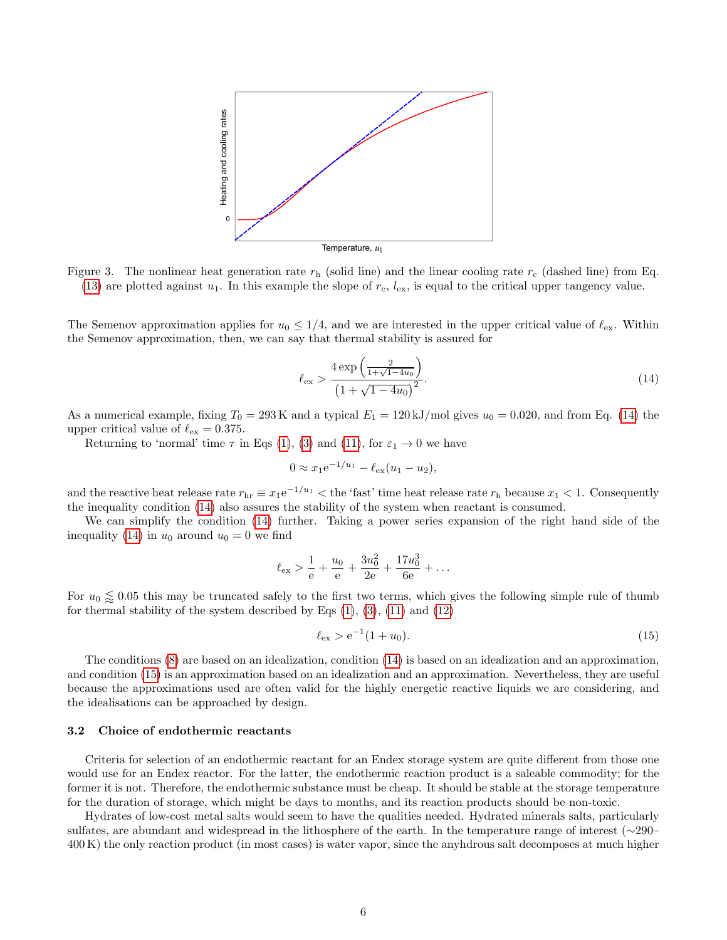<span id="page-5-0"></span>

Figure 3. The nonlinear heat generation rate  $r<sub>h</sub>$  (solid line) and the linear cooling rate  $r<sub>c</sub>$  (dashed line) from Eq. [\(13\)](#page-4-0) are plotted against  $u_1$ . In this example the slope of  $r_c$ ,  $l_{ex}$ , is equal to the critical upper tangency value.

The Semenov approximation applies for  $u_0 \leq 1/4$ , and we are interested in the upper critical value of  $\ell_{ex}$ . Within the Semenov approximation, then, we can say that thermal stability is assured for

<span id="page-5-1"></span>
$$
\ell_{\rm ex} > \frac{4 \exp\left(\frac{2}{1+\sqrt{1-4u_0}}\right)}{\left(1+\sqrt{1-4u_0}\right)^2}.\tag{14}
$$

As a numerical example, fixing  $T_0 = 293 \text{ K}$  and a typical  $E_1 = 120 \text{ kJ/mol}$  gives  $u_0 = 0.020$ , and from Eq. [\(14\)](#page-5-1) the upper critical value of  $\ell_{\rm ex} = 0.375$ .

Returning to 'normal' time  $\tau$  in Eqs [\(1\)](#page-1-2), [\(3\)](#page-1-4) and [\(11\)](#page-4-1), for  $\varepsilon_1 \to 0$  we have

$$
0 \approx x_1 e^{-1/u_1} - \ell_{\text{ex}}(u_1 - u_2),
$$

and the reactive heat release rate  $r_{\text{hr}} \equiv x_1 e^{-1/u_1}$   $<$  the 'fast' time heat release rate  $r_{\text{h}}$  because  $x_1$   $<$  1. Consequently the inequality condition [\(14\)](#page-5-1) also assures the stability of the system when reactant is consumed.

We can simplify the condition [\(14\)](#page-5-1) further. Taking a power series expansion of the right hand side of the inequality [\(14\)](#page-5-1) in  $u_0$  around  $u_0 = 0$  we find

$$
\ell_{\text{ex}} > \frac{1}{e} + \frac{u_0}{e} + \frac{3u_0^2}{2e} + \frac{17u_0^3}{6e} + \dots
$$

For  $u_0 \leq 0.05$  this may be truncated safely to the first two terms, which gives the following simple rule of thumb for thermal stability of the system described by Eqs  $(1)$ ,  $(3)$ ,  $(11)$  and  $(12)$ 

<span id="page-5-2"></span>
$$
\ell_{\rm ex} > e^{-1}(1+u_0). \tag{15}
$$

The conditions [\(8\)](#page-3-2) are based on an idealization, condition [\(14\)](#page-5-1) is based on an idealization and an approximation, and condition [\(15\)](#page-5-2) is an approximation based on an idealization and an approximation. Nevertheless, they are useful because the approximations used are often valid for the highly energetic reactive liquids we are considering, and the idealisations can be approached by design.

### 3.2 Choice of endothermic reactants

Criteria for selection of an endothermic reactant for an Endex storage system are quite different from those one would use for an Endex reactor. For the latter, the endothermic reaction product is a saleable commodity; for the former it is not. Therefore, the endothermic substance must be cheap. It should be stable at the storage temperature for the duration of storage, which might be days to months, and its reaction products should be non-toxic.

Hydrates of low-cost metal salts would seem to have the qualities needed. Hydrated minerals salts, particularly sulfates, are abundant and widespread in the lithosphere of the earth. In the temperature range of interest (∼290– 400 K) the only reaction product (in most cases) is water vapor, since the anyhdrous salt decomposes at much higher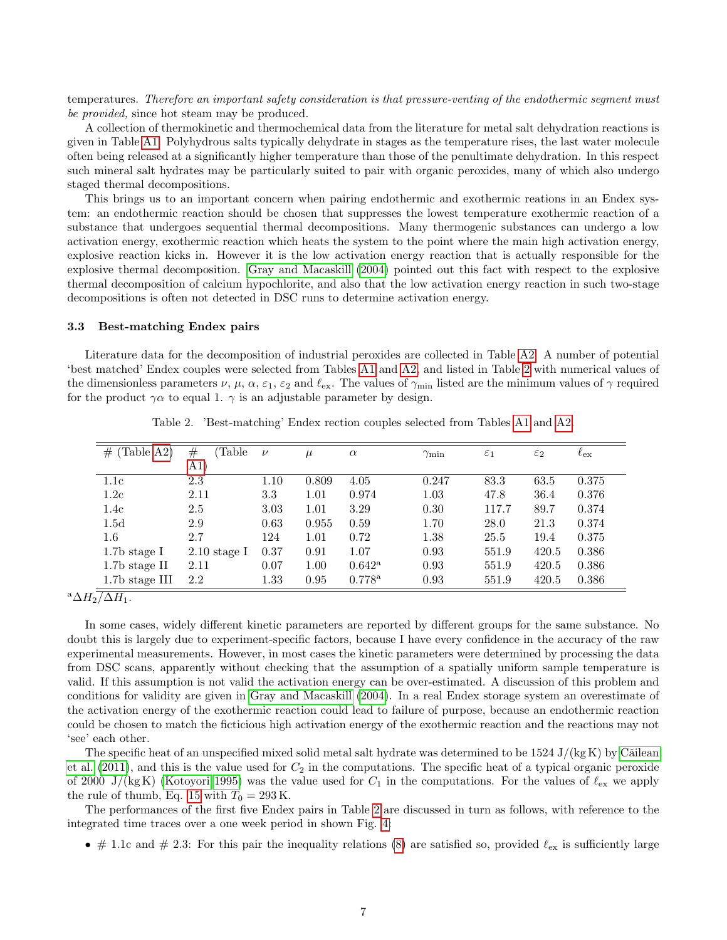temperatures. Therefore an important safety consideration is that pressure-venting of the endothermic segment must be *provided*, since hot steam may be produced.

A collection of thermokinetic and thermochemical data from the literature for metal salt dehydration reactions is given in Table [A1.](#page-9-0) Polyhydrous salts typically dehydrate in stages as the temperature rises, the last water molecule often being released at a significantly higher temperature than those of the penultimate dehydration. In this respect such mineral salt hydrates may be particularly suited to pair with organic peroxides, many of which also undergo staged thermal decompositions.

This brings us to an important concern when pairing endothermic and exothermic reations in an Endex system: an endothermic reaction should be chosen that suppresses the lowest temperature exothermic reaction of a substance that undergoes sequential thermal decompositions. Many thermogenic substances can undergo a low activation energy, exothermic reaction which heats the system to the point where the main high activation energy, explosive reaction kicks in. However it is the low activation energy reaction that is actually responsible for the explosive thermal decomposition. [Gray and Macaskill](#page-11-8) [\(2004\)](#page-11-8) pointed out this fact with respect to the explosive thermal decomposition of calcium hypochlorite, and also that the low activation energy reaction in such two-stage decompositions is often not detected in DSC runs to determine activation energy.

### 3.3 Best-matching Endex pairs

Literature data for the decomposition of industrial peroxides are collected in Table [A2.](#page-10-0) A number of potential 'best matched' Endex couples were selected from Tables [A1](#page-9-0) and [A2,](#page-10-0) and listed in Table [2](#page-6-0) with numerical values of the dimensionless parameters  $\nu, \mu, \alpha, \varepsilon_1, \varepsilon_2$  and  $\ell_{\text{ex}}$ . The values of  $\gamma_{\text{min}}$  listed are the minimum values of  $\gamma$  required for the product  $\gamma \alpha$  to equal 1.  $\gamma$  is an adjustable parameter by design.

<span id="page-6-0"></span>

| (Table A2)<br># | Table<br>$^{\#}$ | $\nu$ | $\mu$ | $\alpha$        | $\gamma_{\rm min}$ | $\varepsilon_1$ | $\varepsilon_2$ | $\ell_{\rm ex}$ |
|-----------------|------------------|-------|-------|-----------------|--------------------|-----------------|-----------------|-----------------|
|                 | $ A1\rangle$     |       |       |                 |                    |                 |                 |                 |
| 1.1c            | 2.3              | 1.10  | 0.809 | 4.05            | 0.247              | 83.3            | 63.5            | 0.375           |
| 1.2c            | 2.11             | 3.3   | 1.01  | 0.974           | 1.03               | 47.8            | 36.4            | 0.376           |
| 1.4c            | 2.5              | 3.03  | 1.01  | 3.29            | 0.30               | 117.7           | 89.7            | 0.374           |
| 1.5d            | 2.9              | 0.63  | 0.955 | 0.59            | 1.70               | 28.0            | 21.3            | 0.374           |
| $1.6\,$         | 2.7              | 124   | 1.01  | 0.72            | 1.38               | 25.5            | 19.4            | 0.375           |
| $1.7b$ stage I  | $2.10$ stage I   | 0.37  | 0.91  | 1.07            | 0.93               | 551.9           | 420.5           | 0.386           |
| $1.7b$ stage II | 2.11             | 0.07  | 1.00  | $0.642^{\rm a}$ | 0.93               | 551.9           | 420.5           | 0.386           |
| 1.7b stage III  | 2.2              | 1.33  | 0.95  | $0.778^{\rm a}$ | 0.93               | 551.9           | 420.5           | 0.386           |

Table 2. 'Best-matching' Endex rection couples selected from Tables [A1](#page-9-0) and [A2.](#page-10-0)

 $\sqrt[3]{\Delta H_2/\Delta H_1}.$ 

In some cases, widely different kinetic parameters are reported by different groups for the same substance. No doubt this is largely due to experiment-specific factors, because I have every confidence in the accuracy of the raw experimental measurements. However, in most cases the kinetic parameters were determined by processing the data from DSC scans, apparently without checking that the assumption of a spatially uniform sample temperature is valid. If this assumption is not valid the activation energy can be over-estimated. A discussion of this problem and conditions for validity are given in [Gray and Macaskill](#page-11-8) [\(2004\)](#page-11-8). In a real Endex storage system an overestimate of the activation energy of the exothermic reaction could lead to failure of purpose, because an endothermic reaction could be chosen to match the ficticious high activation energy of the exothermic reaction and the reactions may not 'see' each other.

The specific heat of an unspecified mixed solid metal salt hydrate was determined to be  $1524 \text{ J/(kg K)}$  by Cǎilean [et al.](#page-11-9)  $(2011)$ , and this is the value used for  $C_2$  in the computations. The specific heat of a typical organic peroxide of 2000 J/(kg K) [\(Kotoyori 1995\)](#page-11-10) was the value used for  $C_1$  in the computations. For the values of  $\ell_{ex}$  we apply the rule of thumb, Eq. [15](#page-5-2) with  $T_0 = 293$  K.

The performances of the first five Endex pairs in Table [2](#page-6-0) are discussed in turn as follows, with reference to the integrated time traces over a one week period in shown Fig. [4:](#page-7-0)

• # 1.1c and # 2.3: For this pair the inequality relations [\(8\)](#page-3-2) are satisfied so, provided  $\ell_{\rm ex}$  is sufficiently large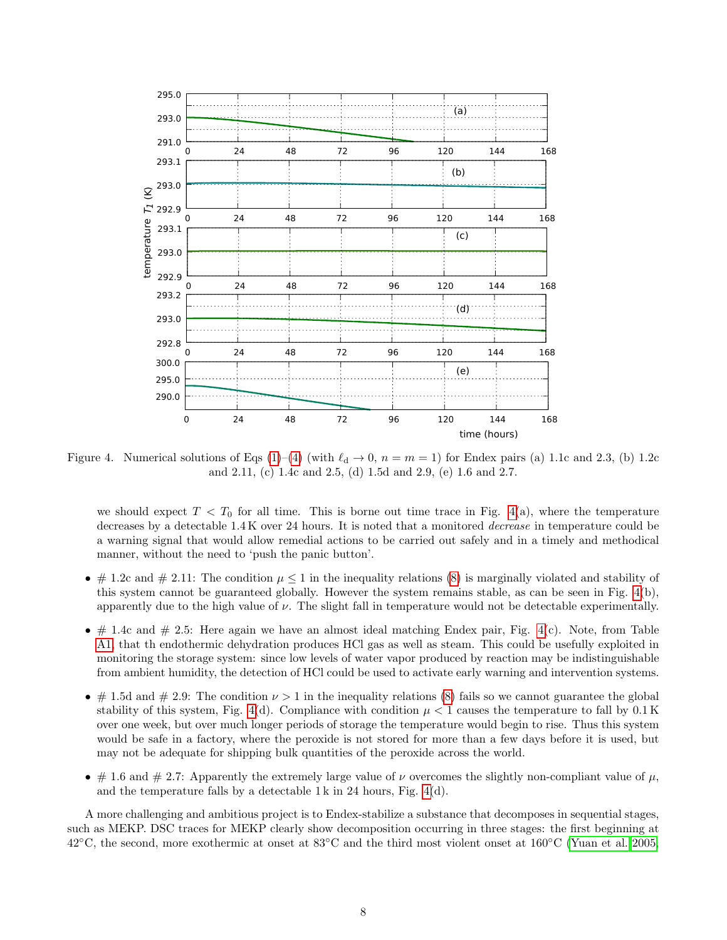<span id="page-7-0"></span>

Figure 4. Numerical solutions of Eqs [\(1\)](#page-1-2)–[\(4\)](#page-1-3) (with  $\ell_d \to 0$ ,  $n = m = 1$ ) for Endex pairs (a) 1.1c and 2.3, (b) 1.2c and 2.11, (c) 1.4c and 2.5, (d) 1.5d and 2.9, (e) 1.6 and 2.7.

we should expect  $T < T_0$  for all time. This is borne out time trace in Fig. [4\(](#page-7-0)a), where the temperature decreases by a detectable 1.4 K over 24 hours. It is noted that a monitored decrease in temperature could be a warning signal that would allow remedial actions to be carried out safely and in a timely and methodical manner, without the need to 'push the panic button'.

- # 1.2c and # 2.11: The condition  $\mu \leq 1$  in the inequality relations [\(8\)](#page-3-2) is marginally violated and stability of this system cannot be guaranteed globally. However the system remains stable, as can be seen in Fig. [4\(](#page-7-0)b), apparently due to the high value of  $\nu$ . The slight fall in temperature would not be detectable experimentally.
- $\bullet$  # 1.4c and # 2.5: Here again we have an almost ideal matching Endex pair, Fig. [4\(](#page-7-0)c). Note, from Table [A1,](#page-9-0) that th endothermic dehydration produces HCl gas as well as steam. This could be usefully exploited in monitoring the storage system: since low levels of water vapor produced by reaction may be indistinguishable from ambient humidity, the detection of HCl could be used to activate early warning and intervention systems.
- # 1.5d and # 2.9: The condition  $\nu > 1$  in the inequality relations [\(8\)](#page-3-2) fails so we cannot guarantee the global stability of this system, Fig. [4\(](#page-7-0)d). Compliance with condition  $\mu < 1$  causes the temperature to fall by 0.1 K over one week, but over much longer periods of storage the temperature would begin to rise. Thus this system would be safe in a factory, where the peroxide is not stored for more than a few days before it is used, but may not be adequate for shipping bulk quantities of the peroxide across the world.
- # 1.6 and # 2.7: Apparently the extremely large value of  $\nu$  overcomes the slightly non-compliant value of  $\mu$ , and the temperature falls by a detectable 1 k in 24 hours, Fig. [4\(](#page-7-0)d).

A more challenging and ambitious project is to Endex-stabilize a substance that decomposes in sequential stages, such as MEKP. DSC traces for MEKP clearly show decomposition occurring in three stages: the first beginning at 42◦C, the second, more exothermic at onset at 83◦C and the third most violent onset at 160◦C [\(Yuan et al. 2005,](#page-12-1)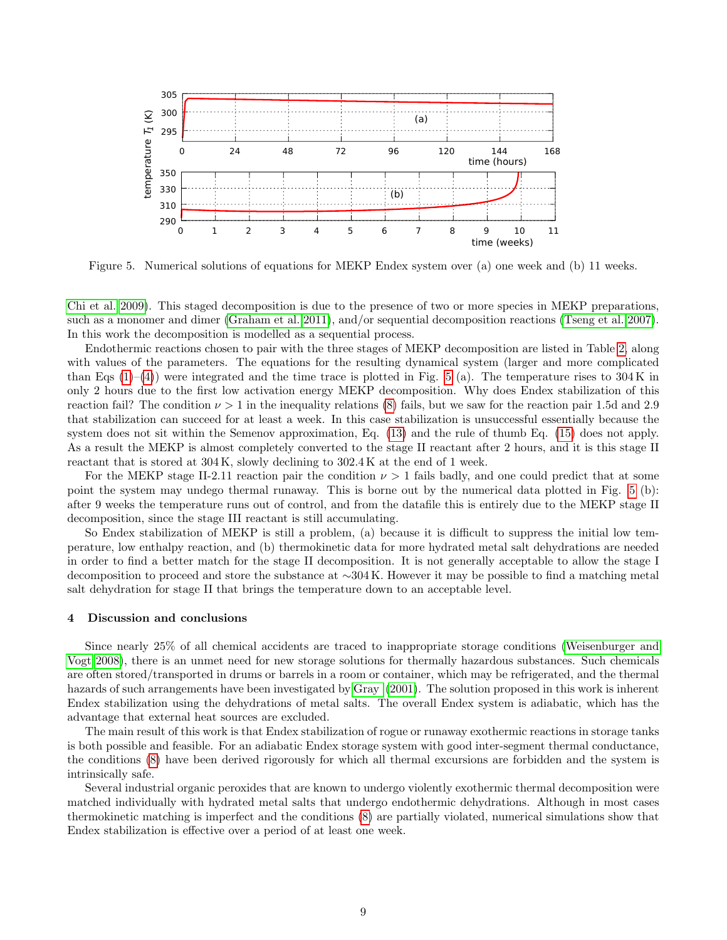<span id="page-8-0"></span>

Figure 5. Numerical solutions of equations for MEKP Endex system over (a) one week and (b) 11 weeks.

[Chi et al. 2009\)](#page-11-11). This staged decomposition is due to the presence of two or more species in MEKP preparations, such as a monomer and dimer [\(Graham et al. 2011\)](#page-11-5), and/or sequential decomposition reactions [\(Tseng et al. 2007\)](#page-12-0). In this work the decomposition is modelled as a sequential process.

Endothermic reactions chosen to pair with the three stages of MEKP decomposition are listed in Table [2,](#page-6-0) along with values of the parameters. The equations for the resulting dynamical system (larger and more complicated than Eqs  $(1)-(4)$  $(1)-(4)$  $(1)-(4)$ ) were integrated and the time trace is plotted in Fig. [5](#page-8-0) (a). The temperature rises to 304 K in only 2 hours due to the first low activation energy MEKP decomposition. Why does Endex stabilization of this reaction fail? The condition  $\nu > 1$  in the inequality relations [\(8\)](#page-3-2) fails, but we saw for the reaction pair 1.5d and 2.9 that stabilization can succeed for at least a week. In this case stabilization is unsuccessful essentially because the system does not sit within the Semenov approximation, Eq. [\(13\)](#page-4-0) and the rule of thumb Eq. [\(15\)](#page-5-2) does not apply. As a result the MEKP is almost completely converted to the stage II reactant after 2 hours, and it is this stage II reactant that is stored at 304 K, slowly declining to 302.4 K at the end of 1 week.

For the MEKP stage II-2.11 reaction pair the condition  $\nu > 1$  fails badly, and one could predict that at some point the system may undego thermal runaway. This is borne out by the numerical data plotted in Fig. [5](#page-8-0) (b): after 9 weeks the temperature runs out of control, and from the datafile this is entirely due to the MEKP stage II decomposition, since the stage III reactant is still accumulating.

So Endex stabilization of MEKP is still a problem, (a) because it is difficult to suppress the initial low temperature, low enthalpy reaction, and (b) thermokinetic data for more hydrated metal salt dehydrations are needed in order to find a better match for the stage II decomposition. It is not generally acceptable to allow the stage I decomposition to proceed and store the substance at ∼304 K. However it may be possible to find a matching metal salt dehydration for stage II that brings the temperature down to an acceptable level.

#### 4 Discussion and conclusions

Since nearly 25% of all chemical accidents are traced to inappropriate storage conditions [\(Weisenburger and](#page-12-2) [Vogt 2008\)](#page-12-2), there is an unmet need for new storage solutions for thermally hazardous substances. Such chemicals are often stored/transported in drums or barrels in a room or container, which may be refrigerated, and the thermal hazards of such arrangements have been investigated by [Gray](#page-12-3) [\(2001\)](#page-12-3). The solution proposed in this work is inherent Endex stabilization using the dehydrations of metal salts. The overall Endex system is adiabatic, which has the advantage that external heat sources are excluded.

The main result of this work is that Endex stabilization of rogue or runaway exothermic reactions in storage tanks is both possible and feasible. For an adiabatic Endex storage system with good inter-segment thermal conductance, the conditions [\(8\)](#page-3-2) have been derived rigorously for which all thermal excursions are forbidden and the system is intrinsically safe.

Several industrial organic peroxides that are known to undergo violently exothermic thermal decomposition were matched individually with hydrated metal salts that undergo endothermic dehydrations. Although in most cases thermokinetic matching is imperfect and the conditions [\(8\)](#page-3-2) are partially violated, numerical simulations show that Endex stabilization is effective over a period of at least one week.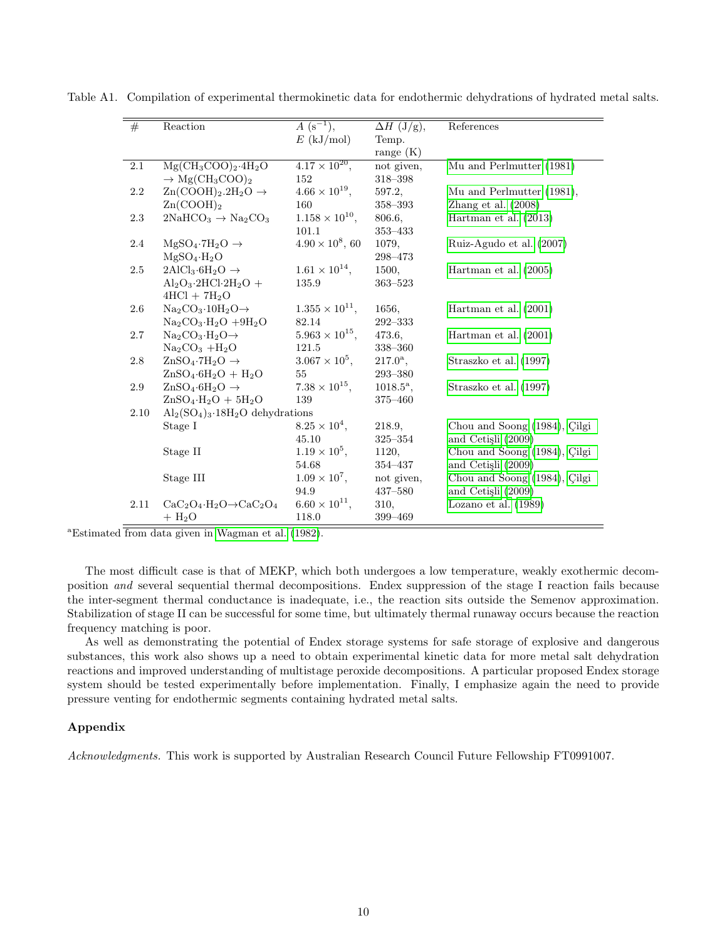| #       | Reaction                                                        | $A(s^{-1}),$             | $\Delta H$ (J/g),  | References                   |
|---------|-----------------------------------------------------------------|--------------------------|--------------------|------------------------------|
|         |                                                                 | $E$ (kJ/mol)             | Temp.              |                              |
|         |                                                                 |                          | range $(K)$        |                              |
| 2.1     | $Mg(CH_3COO)_2.4H_2O$                                           | $4.17 \times 10^{20}$ ,  | not given,         | Mu and Perlmutter (1981)     |
|         | $\rightarrow$ Mg(CH <sub>3</sub> COO) <sub>2</sub>              | 152                      | 318-398            |                              |
| 2.2     | $\text{Zn}(\text{COOH})_2.\text{2H}_2\text{O} \rightarrow$      | $4.66 \times 10^{19}$ ,  | 597.2,             | Mu and Perlmutter (1981),    |
|         | $\rm Zn(COOH)_2$                                                | 160                      | 358-393            | Zhang et al. $(2008)$        |
| 2.3     | $2NaHCO3 \rightarrow Na2CO3$                                    | $1.158 \times 10^{10}$ , | 806.6,             | Hartman et al. $(2013)$      |
|         |                                                                 | 101.1                    | $353 - 433$        |                              |
| 2.4     | $MgSO_4 \tcdot 7H_2O \rightarrow$                               | $4.90 \times 10^8$ , 60  | 1079,              | Ruiz-Agudo et al. (2007)     |
|         | $MgSO_4 \cdot H_2O$                                             |                          | 298-473            |                              |
| 2.5     | $2AICl_3.6H_2O \rightarrow$                                     | $1.61 \times 10^{14}$ ,  | 1500.              | Hartman et al. $(2005)$      |
|         | $Al_2O_3.2HCl·2H_2O +$                                          | 135.9                    | $363 - 523$        |                              |
|         | $4HCl + 7H2O$                                                   |                          |                    |                              |
| 2.6     | $\text{Na}_2\text{CO}_3 \cdot 10\text{H}_2\text{O} \rightarrow$ | $1.355 \times 10^{11}$ , | 1656,              | Hartman et al. $(2001)$      |
|         | $Na2CO3·H2O + 9H2O$                                             | 82.14                    | $292 - 333$        |                              |
| 2.7     | $Na_2CO_3·H_2O\rightarrow$                                      | $5.963 \times 10^{15}$ , | 473.6.             | Hartman et al. $(2001)$      |
|         | $Na2CO3 +H2O$                                                   | 121.5                    | 338-360            |                              |
| $2.8\,$ | $\text{ZnSO}_4$ -7H <sub>2</sub> O $\rightarrow$                | $3.067 \times 10^5$ ,    | $217.0^{\rm a}$ ,  | Straszko et al. (1997)       |
|         | $ZnSO_4.6H_2O + H_2O$                                           | 55                       | $293 - 380$        |                              |
| 2.9     | $\text{ZnSO}_4 \cdot 6\text{H}_2\text{O} \rightarrow$           | $7.38 \times 10^{15}$ ,  | $1018.5^{\circ}$ , | Straszko et al. (1997)       |
|         | $ZnSO_4·H_2O + 5H_2O$                                           | 139                      | 375-460            |                              |
| 2.10    | $\text{Al}_2(\text{SO}_4)_3.18\text{H}_2\text{O}$ dehydrations  |                          |                    |                              |
|         | Stage I                                                         | $8.25 \times 10^4$ ,     | 218.9,             | Chou and Soong (1984), Çilgi |
|         |                                                                 | 45.10                    | $325 - 354$        | and Cetişli (2009)           |
|         | Stage II                                                        | $1.19 \times 10^5$ ,     | 1120,              | Chou and Soong (1984), Çilgi |
|         |                                                                 | 54.68                    | 354-437            | and Cetişli (2009)           |
|         | Stage III                                                       | $1.09 \times 10^{7}$ ,   | not given,         | Chou and Soong (1984), Çilgi |
|         |                                                                 | 94.9                     | 437-580            | and Cetisli (2009)           |
| 2.11    | $CaC2O4·H2O \rightarrow CaC2O4$                                 | $6.60 \times 10^{11}$ ,  | 310,               | Lozano et al. $(1989)$       |
|         | $+ H2O$                                                         | 118.0                    | $399 - 469$        |                              |

<span id="page-9-0"></span>Table A1. Compilation of experimental thermokinetic data for endothermic dehydrations of hydrated metal salts.

<sup>a</sup>Estimated from data given in [Wagman et al.](#page-12-8) [\(1982\)](#page-12-8).

The most difficult case is that of MEKP, which both undergoes a low temperature, weakly exothermic decomposition and several sequential thermal decompositions. Endex suppression of the stage I reaction fails because the inter-segment thermal conductance is inadequate, i.e., the reaction sits outside the Semenov approximation. Stabilization of stage II can be successful for some time, but ultimately thermal runaway occurs because the reaction frequency matching is poor.

As well as demonstrating the potential of Endex storage systems for safe storage of explosive and dangerous substances, this work also shows up a need to obtain experimental kinetic data for more metal salt dehydration reactions and improved understanding of multistage peroxide decompositions. A particular proposed Endex storage system should be tested experimentally before implementation. Finally, I emphasize again the need to provide pressure venting for endothermic segments containing hydrated metal salts.

## Appendix

Acknowledgments. This work is supported by Australian Research Council Future Fellowship FT0991007.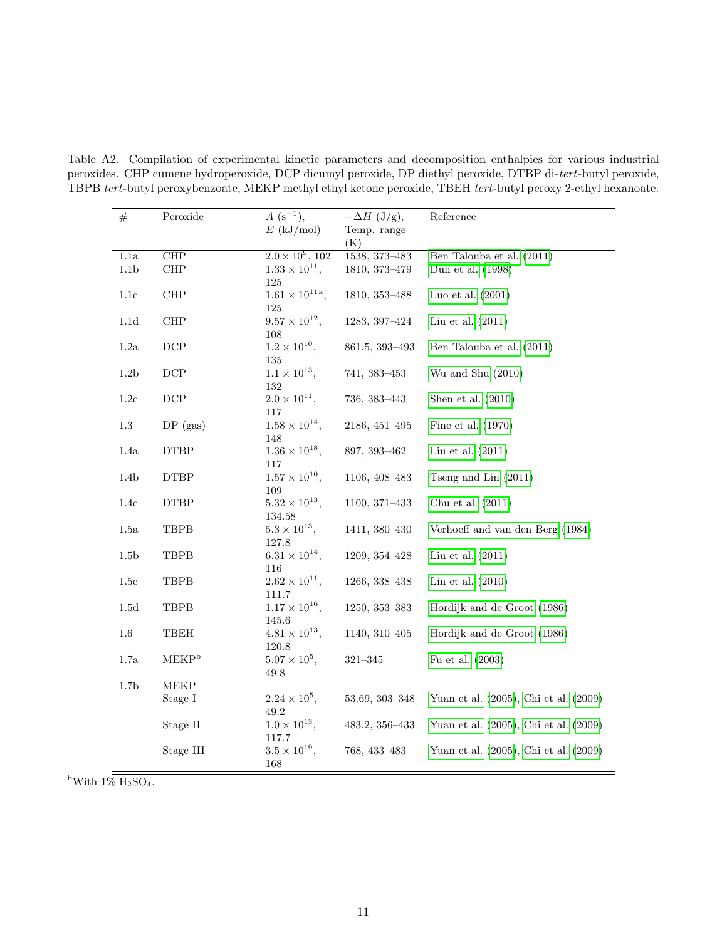| $E$ (kJ/mol)<br>Temp. range<br>(K)<br>$2.0 \times 10^9$ , 102<br>$\overline{\text{CHP}}$<br>$1.1\mathrm{a}$<br>1538, 373-483<br>Ben Talouba et al. (2011)<br>$1.33 \times 10^{11}$ ,<br>$\ensuremath{\mathsf{CHP}}$<br>1.1 <sub>b</sub><br>1810, 373-479<br>Duh et al. (1998)<br>125<br>$1.61 \times 10^{11a}$ ,<br>$\ensuremath{\mathsf{CHP}}$<br>1.1c<br>1810, 353–488<br>Luo et al. $(2001)$<br>$125\,$<br>$9.57 \times 10^{12}$ ,<br>$\ensuremath{\mathsf{CHP}}$<br>Liu et al. $(2011)$<br>$1.1d$<br>1283, 397-424<br>$108\,$<br>$1.2 \times 10^{10}$ ,<br>$1.2\mathrm{a}$<br>$_{\rm DCP}$<br>861.5, 393-493<br>Ben Talouba et al. (2011)<br>135<br>$1.1 \times 10^{13}$ ,<br>$1.2\mathrm{b}$<br>$\operatorname{DCP}$<br>741, 383-453<br>Wu and Shu $(2010)$<br>132<br>$2.0 \times 10^{11}$ ,<br>$\operatorname{DCP}$<br>$1.2\mathrm{c}$<br>736, 383-443<br>Shen et al. $(2010)$<br>117<br>$1.58 \times 10^{14}$ ,<br>$1.3\,$<br>2186, 451-495<br>Fine et al. (1970)<br>$DP$ (gas)<br>148<br>$1.36 \times 10^{18}$ ,<br>1.4a<br><b>DTBP</b><br>897, 393-462<br>Liu et al. $(2011)$<br>$117\,$<br>$1.57 \times 10^{10}$ ,<br>1.4 <sub>b</sub><br><b>DTBP</b><br>1106, 408-483<br>Tseng and Lin $(2011)$<br>109<br>$5.32 \times 10^{13}$ ,<br>1.4c<br><b>DTBP</b><br>1100, 371-433<br>Chu et al. $(2011)$<br>134.58<br>$5.3 \times 10^{13}$ ,<br><b>TBPB</b><br>1411, 380-430<br>Verhoeff and van den Berg (1984)<br>1.5a<br>127.8<br>$6.31 \times 10^{14}$ ,<br>1.5 <sub>b</sub><br>TBPB<br>1209, 354-428<br>Liu et al. $(2011)$<br>116 | $\#$ | Peroxide | $A(s^{-1}),$ | $-\Delta H$ (J/g), | Reference |
|--------------------------------------------------------------------------------------------------------------------------------------------------------------------------------------------------------------------------------------------------------------------------------------------------------------------------------------------------------------------------------------------------------------------------------------------------------------------------------------------------------------------------------------------------------------------------------------------------------------------------------------------------------------------------------------------------------------------------------------------------------------------------------------------------------------------------------------------------------------------------------------------------------------------------------------------------------------------------------------------------------------------------------------------------------------------------------------------------------------------------------------------------------------------------------------------------------------------------------------------------------------------------------------------------------------------------------------------------------------------------------------------------------------------------------------------------------------------------------------------------------------------------------------------|------|----------|--------------|--------------------|-----------|
|                                                                                                                                                                                                                                                                                                                                                                                                                                                                                                                                                                                                                                                                                                                                                                                                                                                                                                                                                                                                                                                                                                                                                                                                                                                                                                                                                                                                                                                                                                                                            |      |          |              |                    |           |
|                                                                                                                                                                                                                                                                                                                                                                                                                                                                                                                                                                                                                                                                                                                                                                                                                                                                                                                                                                                                                                                                                                                                                                                                                                                                                                                                                                                                                                                                                                                                            |      |          |              |                    |           |
|                                                                                                                                                                                                                                                                                                                                                                                                                                                                                                                                                                                                                                                                                                                                                                                                                                                                                                                                                                                                                                                                                                                                                                                                                                                                                                                                                                                                                                                                                                                                            |      |          |              |                    |           |
|                                                                                                                                                                                                                                                                                                                                                                                                                                                                                                                                                                                                                                                                                                                                                                                                                                                                                                                                                                                                                                                                                                                                                                                                                                                                                                                                                                                                                                                                                                                                            |      |          |              |                    |           |
|                                                                                                                                                                                                                                                                                                                                                                                                                                                                                                                                                                                                                                                                                                                                                                                                                                                                                                                                                                                                                                                                                                                                                                                                                                                                                                                                                                                                                                                                                                                                            |      |          |              |                    |           |
|                                                                                                                                                                                                                                                                                                                                                                                                                                                                                                                                                                                                                                                                                                                                                                                                                                                                                                                                                                                                                                                                                                                                                                                                                                                                                                                                                                                                                                                                                                                                            |      |          |              |                    |           |
|                                                                                                                                                                                                                                                                                                                                                                                                                                                                                                                                                                                                                                                                                                                                                                                                                                                                                                                                                                                                                                                                                                                                                                                                                                                                                                                                                                                                                                                                                                                                            |      |          |              |                    |           |
|                                                                                                                                                                                                                                                                                                                                                                                                                                                                                                                                                                                                                                                                                                                                                                                                                                                                                                                                                                                                                                                                                                                                                                                                                                                                                                                                                                                                                                                                                                                                            |      |          |              |                    |           |
|                                                                                                                                                                                                                                                                                                                                                                                                                                                                                                                                                                                                                                                                                                                                                                                                                                                                                                                                                                                                                                                                                                                                                                                                                                                                                                                                                                                                                                                                                                                                            |      |          |              |                    |           |
|                                                                                                                                                                                                                                                                                                                                                                                                                                                                                                                                                                                                                                                                                                                                                                                                                                                                                                                                                                                                                                                                                                                                                                                                                                                                                                                                                                                                                                                                                                                                            |      |          |              |                    |           |
|                                                                                                                                                                                                                                                                                                                                                                                                                                                                                                                                                                                                                                                                                                                                                                                                                                                                                                                                                                                                                                                                                                                                                                                                                                                                                                                                                                                                                                                                                                                                            |      |          |              |                    |           |
|                                                                                                                                                                                                                                                                                                                                                                                                                                                                                                                                                                                                                                                                                                                                                                                                                                                                                                                                                                                                                                                                                                                                                                                                                                                                                                                                                                                                                                                                                                                                            |      |          |              |                    |           |
|                                                                                                                                                                                                                                                                                                                                                                                                                                                                                                                                                                                                                                                                                                                                                                                                                                                                                                                                                                                                                                                                                                                                                                                                                                                                                                                                                                                                                                                                                                                                            |      |          |              |                    |           |
|                                                                                                                                                                                                                                                                                                                                                                                                                                                                                                                                                                                                                                                                                                                                                                                                                                                                                                                                                                                                                                                                                                                                                                                                                                                                                                                                                                                                                                                                                                                                            |      |          |              |                    |           |
|                                                                                                                                                                                                                                                                                                                                                                                                                                                                                                                                                                                                                                                                                                                                                                                                                                                                                                                                                                                                                                                                                                                                                                                                                                                                                                                                                                                                                                                                                                                                            |      |          |              |                    |           |
|                                                                                                                                                                                                                                                                                                                                                                                                                                                                                                                                                                                                                                                                                                                                                                                                                                                                                                                                                                                                                                                                                                                                                                                                                                                                                                                                                                                                                                                                                                                                            |      |          |              |                    |           |
|                                                                                                                                                                                                                                                                                                                                                                                                                                                                                                                                                                                                                                                                                                                                                                                                                                                                                                                                                                                                                                                                                                                                                                                                                                                                                                                                                                                                                                                                                                                                            |      |          |              |                    |           |
|                                                                                                                                                                                                                                                                                                                                                                                                                                                                                                                                                                                                                                                                                                                                                                                                                                                                                                                                                                                                                                                                                                                                                                                                                                                                                                                                                                                                                                                                                                                                            |      |          |              |                    |           |
|                                                                                                                                                                                                                                                                                                                                                                                                                                                                                                                                                                                                                                                                                                                                                                                                                                                                                                                                                                                                                                                                                                                                                                                                                                                                                                                                                                                                                                                                                                                                            |      |          |              |                    |           |
|                                                                                                                                                                                                                                                                                                                                                                                                                                                                                                                                                                                                                                                                                                                                                                                                                                                                                                                                                                                                                                                                                                                                                                                                                                                                                                                                                                                                                                                                                                                                            |      |          |              |                    |           |
|                                                                                                                                                                                                                                                                                                                                                                                                                                                                                                                                                                                                                                                                                                                                                                                                                                                                                                                                                                                                                                                                                                                                                                                                                                                                                                                                                                                                                                                                                                                                            |      |          |              |                    |           |
|                                                                                                                                                                                                                                                                                                                                                                                                                                                                                                                                                                                                                                                                                                                                                                                                                                                                                                                                                                                                                                                                                                                                                                                                                                                                                                                                                                                                                                                                                                                                            |      |          |              |                    |           |
|                                                                                                                                                                                                                                                                                                                                                                                                                                                                                                                                                                                                                                                                                                                                                                                                                                                                                                                                                                                                                                                                                                                                                                                                                                                                                                                                                                                                                                                                                                                                            |      |          |              |                    |           |
|                                                                                                                                                                                                                                                                                                                                                                                                                                                                                                                                                                                                                                                                                                                                                                                                                                                                                                                                                                                                                                                                                                                                                                                                                                                                                                                                                                                                                                                                                                                                            |      |          |              |                    |           |
|                                                                                                                                                                                                                                                                                                                                                                                                                                                                                                                                                                                                                                                                                                                                                                                                                                                                                                                                                                                                                                                                                                                                                                                                                                                                                                                                                                                                                                                                                                                                            |      |          |              |                    |           |
| $2.62 \times 10^{11}$ ,<br><b>TBPB</b><br>1266, 338-438<br>Lin et al. $(2010)$<br>1.5c                                                                                                                                                                                                                                                                                                                                                                                                                                                                                                                                                                                                                                                                                                                                                                                                                                                                                                                                                                                                                                                                                                                                                                                                                                                                                                                                                                                                                                                     |      |          |              |                    |           |
| 111.7                                                                                                                                                                                                                                                                                                                                                                                                                                                                                                                                                                                                                                                                                                                                                                                                                                                                                                                                                                                                                                                                                                                                                                                                                                                                                                                                                                                                                                                                                                                                      |      |          |              |                    |           |
| $1.17 \times 10^{16}$ ,<br><b>TBPB</b><br>1.5d<br>$1250, 353 - 383$<br>Hordijk and de Groot (1986)                                                                                                                                                                                                                                                                                                                                                                                                                                                                                                                                                                                                                                                                                                                                                                                                                                                                                                                                                                                                                                                                                                                                                                                                                                                                                                                                                                                                                                         |      |          |              |                    |           |
| 145.6                                                                                                                                                                                                                                                                                                                                                                                                                                                                                                                                                                                                                                                                                                                                                                                                                                                                                                                                                                                                                                                                                                                                                                                                                                                                                                                                                                                                                                                                                                                                      |      |          |              |                    |           |
| $4.81 \times 10^{13}$ ,<br>TBEH<br>Hordijk and de Groot (1986)<br>$1.6\,$<br>1140, 310-405                                                                                                                                                                                                                                                                                                                                                                                                                                                                                                                                                                                                                                                                                                                                                                                                                                                                                                                                                                                                                                                                                                                                                                                                                                                                                                                                                                                                                                                 |      |          |              |                    |           |
| $120.8\,$                                                                                                                                                                                                                                                                                                                                                                                                                                                                                                                                                                                                                                                                                                                                                                                                                                                                                                                                                                                                                                                                                                                                                                                                                                                                                                                                                                                                                                                                                                                                  |      |          |              |                    |           |
| MEKP <sup>b</sup><br>$5.07 \times 10^5$ ,<br>$1.7\mathrm{a}$<br>Fu et al. (2003)<br>$321 - 345$                                                                                                                                                                                                                                                                                                                                                                                                                                                                                                                                                                                                                                                                                                                                                                                                                                                                                                                                                                                                                                                                                                                                                                                                                                                                                                                                                                                                                                            |      |          |              |                    |           |
| 49.8                                                                                                                                                                                                                                                                                                                                                                                                                                                                                                                                                                                                                                                                                                                                                                                                                                                                                                                                                                                                                                                                                                                                                                                                                                                                                                                                                                                                                                                                                                                                       |      |          |              |                    |           |
| $1.7\mathrm{b}$<br>MEKP<br>$2.24 \times 10^5$ ,<br>53.69, 303-348<br>Yuan et al. (2005), Chi et al. (2009)                                                                                                                                                                                                                                                                                                                                                                                                                                                                                                                                                                                                                                                                                                                                                                                                                                                                                                                                                                                                                                                                                                                                                                                                                                                                                                                                                                                                                                 |      |          |              |                    |           |
| Stage I<br>49.2                                                                                                                                                                                                                                                                                                                                                                                                                                                                                                                                                                                                                                                                                                                                                                                                                                                                                                                                                                                                                                                                                                                                                                                                                                                                                                                                                                                                                                                                                                                            |      |          |              |                    |           |
| $1.0 \times 10^{13}$ ,<br>Stage II<br>483.2, 356-433<br>Yuan et al. (2005), Chi et al. (2009)                                                                                                                                                                                                                                                                                                                                                                                                                                                                                                                                                                                                                                                                                                                                                                                                                                                                                                                                                                                                                                                                                                                                                                                                                                                                                                                                                                                                                                              |      |          |              |                    |           |
| 117.7                                                                                                                                                                                                                                                                                                                                                                                                                                                                                                                                                                                                                                                                                                                                                                                                                                                                                                                                                                                                                                                                                                                                                                                                                                                                                                                                                                                                                                                                                                                                      |      |          |              |                    |           |
| $3.5\times10^{19},$<br>Stage III<br>768, 433-483<br>Yuan et al. (2005), Chi et al. (2009)                                                                                                                                                                                                                                                                                                                                                                                                                                                                                                                                                                                                                                                                                                                                                                                                                                                                                                                                                                                                                                                                                                                                                                                                                                                                                                                                                                                                                                                  |      |          |              |                    |           |
| 168                                                                                                                                                                                                                                                                                                                                                                                                                                                                                                                                                                                                                                                                                                                                                                                                                                                                                                                                                                                                                                                                                                                                                                                                                                                                                                                                                                                                                                                                                                                                        |      |          |              |                    |           |

<span id="page-10-0"></span>Table A2. Compilation of experimental kinetic parameters and decomposition enthalpies for various industrial peroxides. CHP cumene hydroperoxide, DCP dicumyl peroxide, DP diethyl peroxide, DTBP di-tert-butyl peroxide, TBPB tert-butyl peroxybenzoate, MEKP methyl ethyl ketone peroxide, TBEH tert-butyl peroxy 2-ethyl hexanoate.

<sup>b</sup>With  $1\%$   $\overline{H_2SO_4}$ .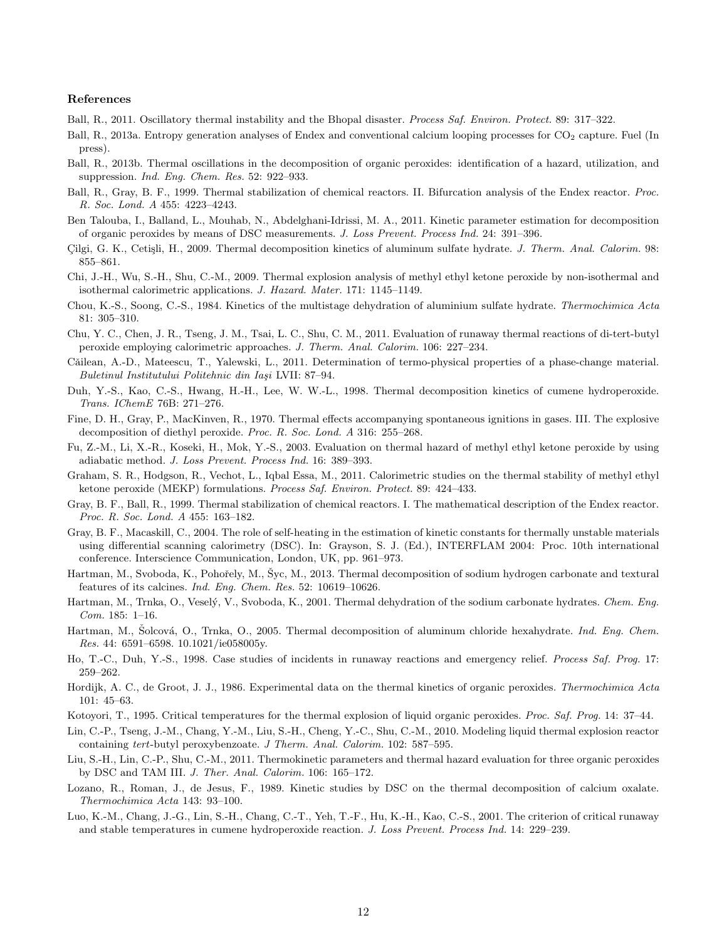#### References

- <span id="page-11-1"></span>Ball, R., 2011. Oscillatory thermal instability and the Bhopal disaster. Process Saf. Environ. Protect. 89: 317–322.
- <span id="page-11-7"></span>Ball, R., 2013a. Entropy generation analyses of Endex and conventional calcium looping processes for CO<sub>2</sub> capture. Fuel (In press).
- <span id="page-11-2"></span>Ball, R., 2013b. Thermal oscillations in the decomposition of organic peroxides: identification of a hazard, utilization, and suppression. Ind. Eng. Chem. Res. 52: 922–933.
- <span id="page-11-6"></span>Ball, R., Gray, B. F., 1999. Thermal stabilization of chemical reactors. II. Bifurcation analysis of the Endex reactor. Proc. R. Soc. Lond. A 455: 4223–4243.
- <span id="page-11-18"></span>Ben Talouba, I., Balland, L., Mouhab, N., Abdelghani-Idrissi, M. A., 2011. Kinetic parameter estimation for decomposition of organic peroxides by means of DSC measurements. J. Loss Prevent. Process Ind. 24: 391–396.
- <span id="page-11-16"></span>Cilgi, G. K., Cetişli, H., 2009. Thermal decomposition kinetics of aluminum sulfate hydrate. J. Therm. Anal. Calorim. 98: 855–861.
- <span id="page-11-11"></span>Chi, J.-H., Wu, S.-H., Shu, C.-M., 2009. Thermal explosion analysis of methyl ethyl ketone peroxide by non-isothermal and isothermal calorimetric applications. J. Hazard. Mater. 171: 1145–1149.
- <span id="page-11-15"></span>Chou, K.-S., Soong, C.-S., 1984. Kinetics of the multistage dehydration of aluminium sulfate hydrate. Thermochimica Acta 81: 305–310.
- <span id="page-11-23"></span>Chu, Y. C., Chen, J. R., Tseng, J. M., Tsai, L. C., Shu, C. M., 2011. Evaluation of runaway thermal reactions of di-tert-butyl peroxide employing calorimetric approaches. J. Therm. Anal. Calorim. 106: 227–234.
- <span id="page-11-9"></span>Căilean, A.-D., Mateescu, T., Yalewski, L., 2011. Determination of termo-physical properties of a phase-change material. Buletinul Institutului Politehnic din Iași LVII: 87–94.
- <span id="page-11-19"></span>Duh, Y.-S., Kao, C.-S., Hwang, H.-H., Lee, W. W.-L., 1998. Thermal decomposition kinetics of cumene hydroperoxide. Trans. IChemE 76B: 271–276.
- <span id="page-11-22"></span>Fine, D. H., Gray, P., MacKinven, R., 1970. Thermal effects accompanying spontaneous ignitions in gases. III. The explosive decomposition of diethyl peroxide. Proc. R. Soc. Lond. A 316: 255–268.
- <span id="page-11-25"></span>Fu, Z.-M., Li, X.-R., Koseki, H., Mok, Y.-S., 2003. Evaluation on thermal hazard of methyl ethyl ketone peroxide by using adiabatic method. J. Loss Prevent. Process Ind. 16: 389–393.
- <span id="page-11-5"></span>Graham, S. R., Hodgson, R., Vechot, L., Iqbal Essa, M., 2011. Calorimetric studies on the thermal stability of methyl ethyl ketone peroxide (MEKP) formulations. Process Saf. Environ. Protect. 89: 424–433.
- <span id="page-11-0"></span>Gray, B. F., Ball, R., 1999. Thermal stabilization of chemical reactors. I. The mathematical description of the Endex reactor. Proc. R. Soc. Lond. A 455: 163–182.
- <span id="page-11-8"></span>Gray, B. F., Macaskill, C., 2004. The role of self-heating in the estimation of kinetic constants for thermally unstable materials using differential scanning calorimetry (DSC). In: Grayson, S. J. (Ed.), INTERFLAM 2004: Proc. 10th international conference. Interscience Communication, London, UK, pp. 961–973.
- <span id="page-11-12"></span>Hartman, M., Svoboda, K., Pohořely, M., Šyc, M., 2013. Thermal decomposition of sodium hydrogen carbonate and textural features of its calcines. Ind. Eng. Chem. Res. 52: 10619–10626.
- <span id="page-11-14"></span>Hartman, M., Trnka, O., Veselý, V., Svoboda, K., 2001. Thermal dehydration of the sodium carbonate hydrates. Chem. Eng. Com. 185: 1–16.
- <span id="page-11-13"></span>Hartman, M., Solcová, O., Trnka, O., 2005. Thermal decomposition of aluminum chloride hexahydrate. Ind. Eng. Chem. Res. 44: 6591–6598. 10.1021/ie058005y.
- <span id="page-11-4"></span>Ho, T.-C., Duh, Y.-S., 1998. Case studies of incidents in runaway reactions and emergency relief. Process Saf. Prog. 17: 259–262.
- <span id="page-11-3"></span>Hordijk, A. C., de Groot, J. J., 1986. Experimental data on the thermal kinetics of organic peroxides. Thermochimica Acta 101: 45–63.
- <span id="page-11-10"></span>Kotoyori, T., 1995. Critical temperatures for the thermal explosion of liquid organic peroxides. Proc. Saf. Prog. 14: 37–44.
- <span id="page-11-24"></span>Lin, C.-P., Tseng, J.-M., Chang, Y.-M., Liu, S.-H., Cheng, Y.-C., Shu, C.-M., 2010. Modeling liquid thermal explosion reactor containing tert-butyl peroxybenzoate. J Therm. Anal. Calorim. 102: 587–595.
- <span id="page-11-21"></span>Liu, S.-H., Lin, C.-P., Shu, C.-M., 2011. Thermokinetic parameters and thermal hazard evaluation for three organic peroxides by DSC and TAM III. J. Ther. Anal. Calorim. 106: 165–172.
- <span id="page-11-17"></span>Lozano, R., Roman, J., de Jesus, F., 1989. Kinetic studies by DSC on the thermal decomposition of calcium oxalate. Thermochimica Acta 143: 93–100.
- <span id="page-11-20"></span>Luo, K.-M., Chang, J.-G., Lin, S.-H., Chang, C.-T., Yeh, T.-F., Hu, K.-H., Kao, C.-S., 2001. The criterion of critical runaway and stable temperatures in cumene hydroperoxide reaction. J. Loss Prevent. Process Ind. 14: 229–239.